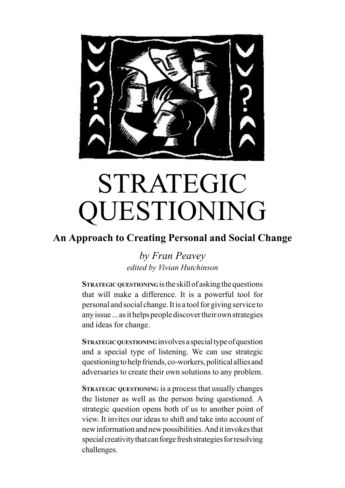

# STRATEGIC QUESTIONING

### **An Approach to Creating Personal and Social Change**

*by Fran Peavey edited by Vivian Hutchinson*

**STRATEGIC QUESTIONING** is the skill of asking the questions that will make a difference. It is a powerful tool for personal and social change. It is a tool for giving service to any issue ... as it helps people discover their own strategies and ideas for change.

**STRATEGIC QUESTIONING** involves a special type of question and a special type of listening. We can use strategic questioning to help friends, co-workers, political allies and adversaries to create their own solutions to any problem.

**STRATEGIC QUESTIONING** is a process that usually changes the listener as well as the person being questioned. A strategic question opens both of us to another point of view. It invites our ideas to shift and take into account of new information and new possibilities. And it invokes that special creativity that can forge fresh strategies for resolving challenges.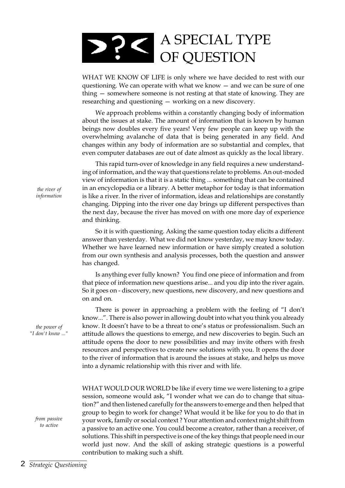## A SPECIAL TYPE OF QUESTION

WHAT WE KNOW OF LIFE is only where we have decided to rest with our questioning. We can operate with what we know  $-$  and we can be sure of one thing  $-$  somewhere someone is not resting at that state of knowing. They are researching and questioning  $-$  working on a new discovery.

We approach problems within a constantly changing body of information about the issues at stake. The amount of information that is known by human beings now doubles every five years! Very few people can keep up with the overwhelming avalanche of data that is being generated in any field. And changes within any body of information are so substantial and complex, that even computer databases are out of date almost as quickly as the local library.

This rapid turn-over of knowledge in any field requires a new understanding of information, and the way that questions relate to problems. An out-moded view of information is that it is a static thing ... something that can be contained in an encyclopedia or a library. A better metaphor for today is that information is like a river. In the river of information, ideas and relationships are constantly changing. Dipping into the river one day brings up different perspectives than the next day, because the river has moved on with one more day of experience and thinking.

So it is with questioning. Asking the same question today elicits a different answer than yesterday. What we did not know yesterday, we may know today. Whether we have learned new information or have simply created a solution from our own synthesis and analysis processes, both the question and answer has changed.

Is anything ever fully known? You find one piece of information and from that piece of information new questions arise... and you dip into the river again. So it goes on - discovery, new questions, new discovery, and new questions and on and on.

There is power in approaching a problem with the feeling of "I don't know.... There is also power in allowing doubt into what you think you already know. It doesn't have to be a threat to one's status or professionalism. Such an attitude allows the questions to emerge, and new discoveries to begin. Such an attitude opens the door to new possibilities and may invite others with fresh resources and perspectives to create new solutions with you. It opens the door to the river of information that is around the issues at stake, and helps us move into a dynamic relationship with this river and with life.

WHAT WOULD OUR WORLD be like if every time we were listening to a gripe session, someone would ask, "I wonder what we can do to change that situation?" and then listened carefully for the answers to emerge and then helped that group to begin to work for change? What would it be like for you to do that in your work, family or social context ? Your attention and context might shift from a passive to an active one. You could become a creator, rather than a receiver, of solutions. This shift in perspective is one of the key things that people need in our world just now. And the skill of asking strategic questions is a powerful contribution to making such a shift.

the river of information

the power of "I don't know ..."

> from passive to active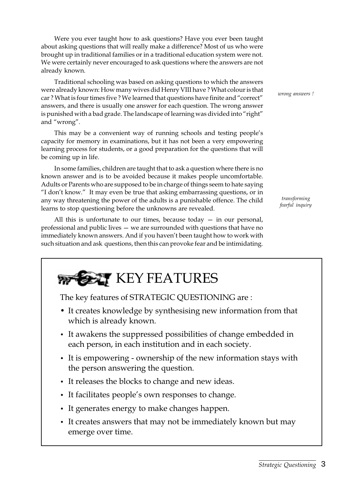Were you ever taught how to ask questions? Have you ever been taught about asking questions that will really make a difference? Most of us who were brought up in traditional families or in a traditional education system were not. We were certainly never encouraged to ask questions where the answers are not already known.

Traditional schooling was based on asking questions to which the answers were already known: How many wives did Henry VIII have ? What colour is that car? What is four times five? We learned that questions have finite and "correct" answers, and there is usually one answer for each question. The wrong answer is punished with a bad grade. The landscape of learning was divided into "right" and "wrong".

This may be a convenient way of running schools and testing people's capacity for memory in examinations, but it has not been a very empowering learning process for students, or a good preparation for the questions that will be coming up in life.

In some families, children are taught that to ask a question where there is no known answer and is to be avoided because it makes people uncomfortable. Adults or Parents who are supposed to be in charge of things seem to hate saying "I don't know." It may even be true that asking embarrassing questions, or in any way threatening the power of the adults is a punishable offence. The child learns to stop questioning before the unknowns are revealed.

All this is unfortunate to our times, because today  $-$  in our personal, professional and public lives  $-$  we are surrounded with questions that have no immediately known answers. And if you haven't been taught how to work with such situation and ask questions, then this can provoke fear and be intimidating.

wrong answers !

transforming fearful inquiry

# **WELT KEY FEATURES**

The key features of STRATEGIC QUESTIONING are :

- It creates knowledge by synthesising new information from that which is already known.
- It awakens the suppressed possibilities of change embedded in each person, in each institution and in each society.
- It is empowering ownership of the new information stays with the person answering the question.
- It releases the blocks to change and new ideas.
- It facilitates people's own responses to change.
- It generates energy to make changes happen.
- It creates answers that may not be immediately known but may emerge over time.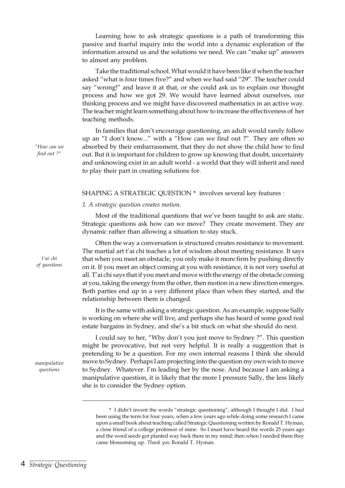Learning how to ask strategic questions is a path of transforming this passive and fearful inquiry into the world into a dynamic exploration of the information around us and the solutions we need. We can "make up" answers to almost any problem.

Take the traditional school. What would it have been like if when the teacher asked "what is four times five?" and when we had said "29". The teacher could say "wrong!" and leave it at that, or she could ask us to explain our thought process and how we got 29. We would have learned about ourselves, our thinking process and we might have discovered mathematics in an active way. The teacher might learn something about how to increase the effectiveness of her teaching methods.

In families that don't encourage questioning, an adult would rarely follow up an "I don't know..." with a "How can we find out ?". They are often so absorbed by their embarrassment, that they do not show the child how to find out. But it is important for children to grow up knowing that doubt, uncertainty and unknowing exist in an adult world - a world that they will inherit and need to play their part in creating solutions for.

SHAPING A STRATEGIC QUESTION \* involves several key features :

#### 1. A strategic question creates motion.

Most of the traditional questions that we've been taught to ask are static. Strategic questions ask how can we move? They create movement. They are dynamic rather than allowing a situation to stay stuck.

Often the way a conversation is structured creates resistance to movement. The martial art t'ai chi teaches a lot of wisdom about meeting resistance. It says that when you meet an obstacle, you only make it more firm by pushing directly on it. If you meet an object coming at you with resistance, it is not very useful at all. T'ai chi says that if you meet and move with the energy of the obstacle coming at you, taking the energy from the other, then motion in a new direction emerges. Both parties end up in a very different place than when they started, and the relationship between them is changed.

It is the same with asking a strategic question. As an example, suppose Sally is working on where she will live, and perhaps she has heard of some good real estate bargains in Sydney, and she's a bit stuck on what she should do next.

I could say to her, "Why don't you just move to Sydney ?". This question might be provocative, but not very helpful. It is really a suggestion that is pretending to be a question. For my own internal reasons I think she should move to Sydney. Perhaps I am projecting into the question my own wish to move to Sydney. Whatever. I'm leading her by the nose. And because I am asking a manipulative question, it is likely that the more I pressure Sally, the less likely she is to consider the Sydney option.

"How can we find out ?"

t'ai chi of questions

manipulative questions

<sup>\*</sup> I didn't invent the words "strategic questioning", although I thought I did. I had been using the term for four years, when a few years ago while doing some research I came upon a small book about teaching called Strategic Questioning written by Ronald T. Hyman, a close friend of a college professor of mine. So I must have heard the words 25 years ago and the word seeds got planted way back there in my mind; then when I needed them they came blossoming up. Thank you Ronald T. Hyman.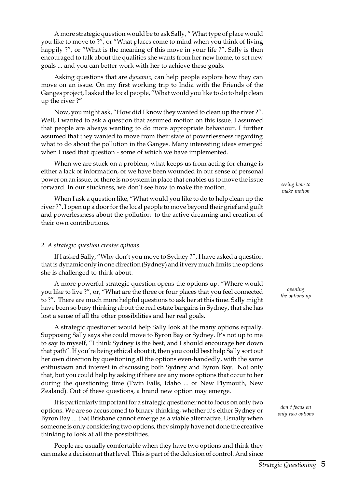A more strategic question would be to ask Sally, "What type of place would you like to move to ?", or "What places come to mind when you think of living happily ?", or "What is the meaning of this move in your life ?". Sally is then encouraged to talk about the qualities she wants from her new home, to set new goals ... and you can better work with her to achieve these goals.

Asking questions that are dynamic, can help people explore how they can move on an issue. On my first working trip to India with the Friends of the Ganges project, I asked the local people, What would you like to do to help clean up the river ?

Now, you might ask, "How did I know they wanted to clean up the river?". Well, I wanted to ask a question that assumed motion on this issue. I assumed that people are always wanting to do more appropriate behaviour. I further assumed that they wanted to move from their state of powerlessness regarding what to do about the pollution in the Ganges. Many interesting ideas emerged when I used that question - some of which we have implemented.

When we are stuck on a problem, what keeps us from acting for change is either a lack of information, or we have been wounded in our sense of personal power on an issue, or there is no system in place that enables us to move the issue forward. In our stuckness, we don't see how to make the motion.

When I ask a question like, "What would you like to do to help clean up the river ?", I open up a door for the local people to move beyond their grief and guilt and powerlessness about the pollution to the active dreaming and creation of their own contributions.

#### 2. A strategic question creates options.

If I asked Sally, "Why don't you move to Sydney?", I have asked a question that is dynamic only in one direction (Sydney) and it very much limits the options she is challenged to think about.

A more powerful strategic question opens the options up. Where would you like to live ?", or, "What are the three or four places that you feel connected to ?". There are much more helpful questions to ask her at this time. Sally might have been so busy thinking about the real estate bargains in Sydney, that she has lost a sense of all the other possibilities and her real goals.

A strategic questioner would help Sally look at the many options equally. Supposing Sally says she could move to Byron Bay or Sydney. It's not up to me to say to myself, "I think Sydney is the best, and I should encourage her down that path". If you're being ethical about it, then you could best help Sally sort out her own direction by questioning all the options even-handedly, with the same enthusiasm and interest in discussing both Sydney and Byron Bay. Not only that, but you could help by asking if there are any more options that occur to her during the questioning time (Twin Falls, Idaho ... or New Plymouth, New Zealand). Out of these questions, a brand new option may emerge.

It is particularly important for a strategic questioner not to focus on only two options. We are so accustomed to binary thinking, whether it's either Sydney or Byron Bay ... that Brisbane cannot emerge as a viable alternative. Usually when someone is only considering two options, they simply have not done the creative thinking to look at all the possibilities.

People are usually comfortable when they have two options and think they can make a decision at that level. This is part of the delusion of control. And since seeing how to make motion

opening the options up

don't focus on only two options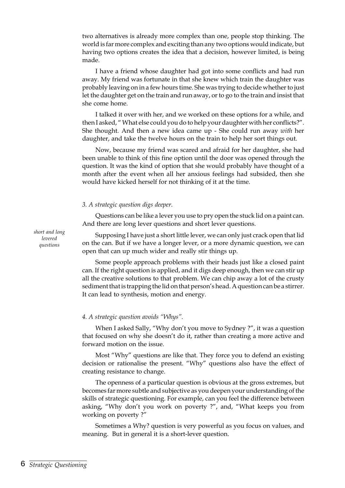two alternatives is already more complex than one, people stop thinking. The world is far more complex and exciting than any two options would indicate, but having two options creates the idea that a decision, however limited, is being made.

I have a friend whose daughter had got into some conflicts and had run away. My friend was fortunate in that she knew which train the daughter was probably leaving on in a few hours time. She was trying to decide whether to just let the daughter get on the train and run away, or to go to the train and insist that she come home.

I talked it over with her, and we worked on these options for a while, and then I asked, "What else could you do to help your daughter with her conflicts?". She thought. And then a new idea came up - She could run away with her daughter, and take the twelve hours on the train to help her sort things out.

Now, because my friend was scared and afraid for her daughter, she had been unable to think of this fine option until the door was opened through the question. It was the kind of option that she would probably have thought of a month after the event when all her anxious feelings had subsided, then she would have kicked herself for not thinking of it at the time.

#### 3. A strategic question digs deeper.

Questions can be like a lever you use to pry open the stuck lid on a paint can. And there are long lever questions and short lever questions.

Supposing I have just a short little lever, we can only just crack open that lid on the can. But if we have a longer lever, or a more dynamic question, we can open that can up much wider and really stir things up.

Some people approach problems with their heads just like a closed paint can. If the right question is applied, and it digs deep enough, then we can stir up all the creative solutions to that problem. We can chip away a lot of the crusty sediment that is trapping the lid on that person's head. A question can be a stirrer. It can lead to synthesis, motion and energy.

#### 4. A strategic question avoids "Whys".

When I asked Sally, "Why don't you move to Sydney ?", it was a question that focused on why she doesn't do it, rather than creating a more active and forward motion on the issue.

Most "Why" questions are like that. They force you to defend an existing decision or rationalise the present. "Why" questions also have the effect of creating resistance to change.

The openness of a particular question is obvious at the gross extremes, but becomes far more subtle and subjective as you deepen your understanding of the skills of strategic questioning. For example, can you feel the difference between asking, "Why don't you work on poverty ?", and, "What keeps you from working on poverty ?

Sometimes a Why? question is very powerful as you focus on values, and meaning. But in general it is a short-lever question.

short and long levered questions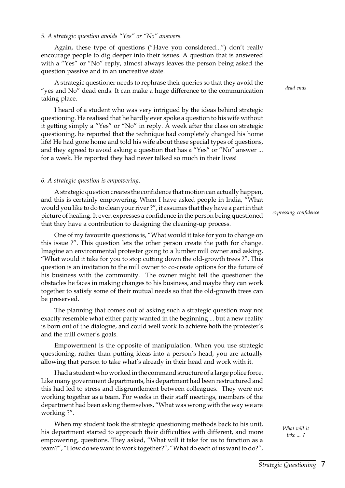#### 5. A strategic question avoids "Yes" or "No" answers.

Again, these type of questions ("Have you considered...") don't really encourage people to dig deeper into their issues. A question that is answered with a "Yes" or "No" reply, almost always leaves the person being asked the question passive and in an uncreative state.

A strategic questioner needs to rephrase their queries so that they avoid the "yes and No" dead ends. It can make a huge difference to the communication taking place.

I heard of a student who was very intrigued by the ideas behind strategic questioning. He realised that he hardly ever spoke a question to his wife without it getting simply a "Yes" or "No" in reply. A week after the class on strategic questioning, he reported that the technique had completely changed his home life! He had gone home and told his wife about these special types of questions, and they agreed to avoid asking a question that has a "Yes" or "No" answer ... for a week. He reported they had never talked so much in their lives!

#### 6. A strategic question is empowering.

A strategic question creates the confidence that motion can actually happen, and this is certainly empowering. When I have asked people in India, "What would you like to do to clean your river?", it assumes that they have a part in that picture of healing. It even expresses a confidence in the person being questioned that they have a contribution to designing the cleaning-up process.

One of my favourite questions is, What would it take for you to change on this issue ?". This question lets the other person create the path for change. Imagine an environmental protester going to a lumber mill owner and asking, "What would it take for you to stop cutting down the old-growth trees?". This question is an invitation to the mill owner to co-create options for the future of his business with the community. The owner might tell the questioner the obstacles he faces in making changes to his business, and maybe they can work together to satisfy some of their mutual needs so that the old-growth trees can be preserved.

The planning that comes out of asking such a strategic question may not exactly resemble what either party wanted in the beginning ... but a new reality is born out of the dialogue, and could well work to achieve both the protester's and the mill owner's goals.

Empowerment is the opposite of manipulation. When you use strategic questioning, rather than putting ideas into a person's head, you are actually allowing that person to take what's already in their head and work with it.

I had a student who worked in the command structure of a large police force. Like many government departments, his department had been restructured and this had led to stress and disgruntlement between colleagues. They were not working together as a team. For weeks in their staff meetings, members of the department had been asking themselves, What was wrong with the way we are working?".

When my student took the strategic questioning methods back to his unit, his department started to approach their difficulties with different, and more empowering, questions. They asked, What will it take for us to function as a team?", "How do we want to work together?", "What do each of us want to do?", dead ends

expressing confidence

What will it take ... ?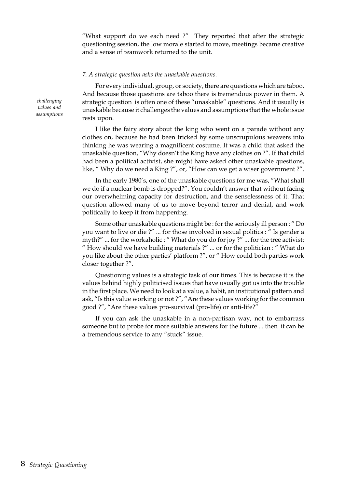"What support do we each need ?" They reported that after the strategic questioning session, the low morale started to move, meetings became creative and a sense of teamwork returned to the unit.

#### 7. A strategic question asks the unaskable questions.

For every individual, group, or society, there are questions which are taboo. And because those questions are taboo there is tremendous power in them. A strategic question is often one of these "unaskable" questions. And it usually is unaskable because it challenges the values and assumptions that the whole issue rests upon.

I like the fairy story about the king who went on a parade without any clothes on, because he had been tricked by some unscrupulous weavers into thinking he was wearing a magnificent costume. It was a child that asked the unaskable question, "Why doesn't the King have any clothes on ?". If that child had been a political activist, she might have asked other unaskable questions, like, "Why do we need a King?", or, "How can we get a wiser government?".

In the early 1980's, one of the unaskable questions for me was, "What shall we do if a nuclear bomb is dropped?". You couldn't answer that without facing our overwhelming capacity for destruction, and the senselessness of it. That question allowed many of us to move beyond terror and denial, and work politically to keep it from happening.

Some other unaskable questions might be : for the seriously ill person : " Do you want to live or die ?" ... for those involved in sexual politics : " Is gender a myth?" ... for the workaholic : "What do you do for joy ?" ... for the tree activist: " How should we have building materials ?" ... or for the politician : " What do you like about the other parties' platform ?", or " How could both parties work closer together ?".

Questioning values is a strategic task of our times. This is because it is the values behind highly politicised issues that have usually got us into the trouble in the first place. We need to look at a value, a habit, an institutional pattern and ask, "Is this value working or not ?", "Are these values working for the common good ?", "Are these values pro-survival (pro-life) or anti-life?"

If you can ask the unaskable in a non-partisan way, not to embarrass someone but to probe for more suitable answers for the future ... then it can be a tremendous service to any "stuck" issue.

challenging values and assumptions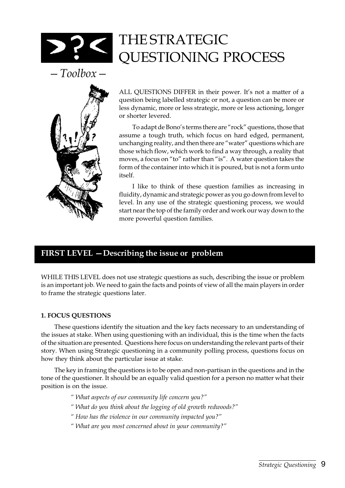





# THE STRATEGIC QUESTIONING PROCESS

ALL QUESTIONS DIFFER in their power. It's not a matter of a question being labelled strategic or not, a question can be more or less dynamic, more or less strategic, more or less actioning, longer or shorter levered.

To adapt de Bono's terms there are "rock" questions, those that assume a tough truth, which focus on hard edged, permanent, unchanging reality, and then there are "water" questions which are those which flow, which work to find a way through, a reality that moves, a focus on "to" rather than "is". A water question takes the form of the container into which it is poured, but is not a form unto itself.

I like to think of these question families as increasing in fluidity, dynamic and strategic power as you go down from level to level. In any use of the strategic questioning process, we would start near the top of the family order and work our way down to the more powerful question families.

### FIRST LEVEL - Describing the issue or problem

WHILE THIS LEVEL does not use strategic questions as such, describing the issue or problem is an important job. We need to gain the facts and points of view of all the main players in order to frame the strategic questions later.

#### 1. FOCUS QUESTIONS

These questions identify the situation and the key facts necessary to an understanding of the issues at stake. When using questioning with an individual, this is the time when the facts of the situation are presented. Questions here focus on understanding the relevant parts of their story. When using Strategic questioning in a community polling process, questions focus on how they think about the particular issue at stake.

The key in framing the questions is to be open and non-partisan in the questions and in the tone of the questioner. It should be an equally valid question for a person no matter what their position is on the issue.

What aspects of our community life concern you?

- What do you think about the logging of old growth redwoods?
- How has the violence in our community impacted you?
- What are you most concerned about in your community?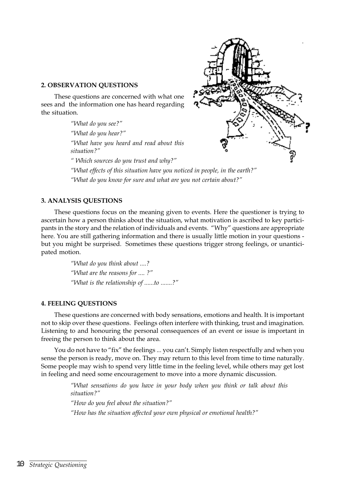#### 2. OBSERVATION QUESTIONS

These questions are concerned with what one sees and the information one has heard regarding the situation.

> "What do you see?" "What do you hear?" What have you heard and read about this situation?" Which sources do you trust and why?

What effects of this situation have you noticed in people, in the earth? What do you know for sure and what are you not certain about?

#### 3. ANALYSIS QUESTIONS

These questions focus on the meaning given to events. Here the questioner is trying to ascertain how a person thinks about the situation, what motivation is ascribed to key participants in the story and the relation of individuals and events. "Why" questions are appropriate here. You are still gathering information and there is usually little motion in your questions but you might be surprised. Sometimes these questions trigger strong feelings, or unanticipated motion.

> What do you think about ....? "What are the reasons for ....?" What is the relationship of ......to .......?

#### 4. FEELING QUESTIONS

These questions are concerned with body sensations, emotions and health. It is important not to skip over these questions. Feelings often interfere with thinking, trust and imagination. Listening to and honouring the personal consequences of an event or issue is important in freeing the person to think about the area.

You do not have to "fix" the feelings ... you can't. Simply listen respectfully and when you sense the person is ready, move on. They may return to this level from time to time naturally. Some people may wish to spend very little time in the feeling level, while others may get lost in feeling and need some encouragement to move into a more dynamic discussion.

> What sensations do you have in your body when you think or talk about this situation?"

"How do you feel about the situation?"

"How has the situation affected your own physical or emotional health?"

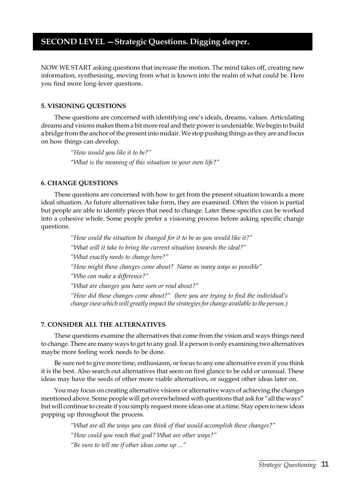### SECOND LEVEL - Strategic Questions. Digging deeper.

NOW WE START asking questions that increase the motion. The mind takes off, creating new information, synthesising, moving from what is known into the realm of what could be. Here you find more long-lever questions.

#### 5. VISIONING QUESTIONS

These questions are concerned with identifying one's ideals, dreams, values. Articulating dreams and visions makes them a bit more real and their power is undeniable. We begin to build a bridge from the anchor of the present into midair. We stop pushing things as they are and focus on how things can develop.

> How would you like it to be? What is the meaning of this situation in your own life?

#### 6. CHANGE QUESTIONS

These questions are concerned with how to get from the present situation towards a more ideal situation. As future alternatives take form, they are examined. Often the vision is partial but people are able to identify pieces that need to change. Later these specifics can be worked into a cohesive whole. Some people prefer a visioning process before asking specific change questions.

> "How could the situation be changed for it to be as you would like it?" "What will it take to bring the current situation towards the ideal?" "What exactly needs to change here?" "How might those changes come about? Name as many ways as possible" "Who can make a difference?" What are changes you have seen or read about? "How did those changes come about?" (here you are trying to find the individual's change view which will greatly impact the strategies for change available to the person.)

#### 7. CONSIDER ALL THE ALTERNATIVES

These questions examine the alternatives that come from the vision and ways things need to change. There are many ways to get to any goal. If a person is only examining two alternatives maybe more feeling work needs to be done.

Be sure not to give more time, enthusiasm, or focus to any one alternative even if you think it is the best. Also search out alternatives that seem on first glance to be odd or unusual. These ideas may have the seeds of other more viable alternatives, or suggest other ideas later on.

You may focus on creating alternative visions or alternative ways of achieving the changes mentioned above. Some people will get overwhelmed with questions that ask for "all the ways" but will continue to create if you simply request more ideas one at a time. Stay open to new ideas popping up throughout the process.

> "What are all the ways you can think of that would accomplish these changes?" "How could you reach that goal? What are other ways?" "Be sure to tell me if other ideas come up ..."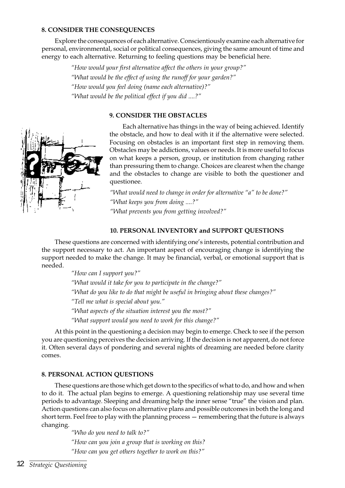#### 8. CONSIDER THE CONSEQUENCES

Explore the consequences of each alternative. Conscientiously examine each alternative for personal, environmental, social or political consequences, giving the same amount of time and energy to each alternative. Returning to feeling questions may be beneficial here.

> How would your first alternative affect the others in your group? "What would be the effect of using the runoff for your garden?" How would you feel doing (name each alternative)? What would be the political effect if you did ....?

#### 9. CONSIDER THE OBSTACLES



Each alternative has things in the way of being achieved. Identify the obstacle, and how to deal with it if the alternative were selected. Focusing on obstacles is an important first step in removing them. Obstacles may be addictions, values or needs. It is more useful to focus on what keeps a person, group, or institution from changing rather than pressuring them to change. Choices are clearest when the change and the obstacles to change are visible to both the questioner and questionee.

"What would need to change in order for alternative "a" to be done?" What keeps you from doing ....? What prevents you from getting involved?

#### 10. PERSONAL INVENTORY and SUPPORT QUESTIONS

These questions are concerned with identifying one's interests, potential contribution and the support necessary to act. An important aspect of encouraging change is identifying the support needed to make the change. It may be financial, verbal, or emotional support that is needed.

> "How can I support you?" "What would it take for you to participate in the change?" What do you like to do that might be useful in bringing about these changes? Tell me what is special about you. What aspects of the situation interest you the most? "What support would you need to work for this change?"

At this point in the questioning a decision may begin to emerge. Check to see if the person you are questioning perceives the decision arriving. If the decision is not apparent, do not force it. Often several days of pondering and several nights of dreaming are needed before clarity comes.

#### 8. PERSONAL ACTION QUESTIONS

These questions are those which get down to the specifics of what to do, and how and when to do it. The actual plan begins to emerge. A questioning relationship may use several time periods to advantage. Sleeping and dreaming help the inner sense "true" the vision and plan. Action questions can also focus on alternative plans and possible outcomes in both the long and short term. Feel free to play with the planning process - remembering that the future is always changing.

"Who do you need to talk to?" How can you join a group that is working on this? "How can you get others together to work on this?"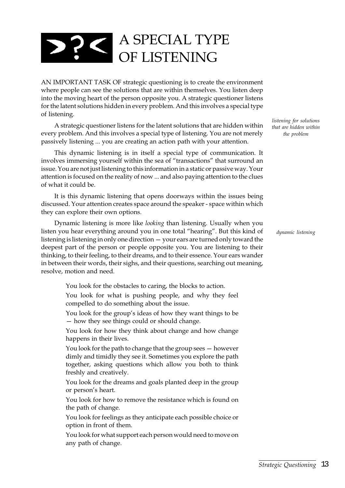## A SPECIAL TYPE OF LISTENING

AN IMPORTANT TASK OF strategic questioning is to create the environment where people can see the solutions that are within themselves. You listen deep into the moving heart of the person opposite you. A strategic questioner listens for the latent solutions hidden in every problem. And this involves a special type of listening.

A strategic questioner listens for the latent solutions that are hidden within every problem. And this involves a special type of listening. You are not merely passively listening ... you are creating an action path with your attention.

This dynamic listening is in itself a special type of communication. It involves immersing yourself within the sea of "transactions" that surround an issue. You are not just listening to this information in a static or passive way. Your attention is focused on the reality of now ... and also paying attention to the clues of what it could be.

It is this dynamic listening that opens doorways within the issues being discussed. Your attention creates space around the speaker - space within which they can explore their own options.

Dynamic listening is more like looking than listening. Usually when you listen you hear everything around you in one total "hearing". But this kind of listening is listening in only one direction  $-$  your ears are turned only toward the deepest part of the person or people opposite you. You are listening to their thinking, to their feeling, to their dreams, and to their essence. Your ears wander in between their words, their sighs, and their questions, searching out meaning, resolve, motion and need.

You look for the obstacles to caring, the blocks to action.

You look for what is pushing people, and why they feel compelled to do something about the issue.

You look for the group's ideas of how they want things to be - how they see things could or should change.

You look for how they think about change and how change happens in their lives.

You look for the path to change that the group sees - however dimly and timidly they see it. Sometimes you explore the path together, asking questions which allow you both to think freshly and creatively.

You look for the dreams and goals planted deep in the group or person's heart.

You look for how to remove the resistance which is found on the path of change.

You look for feelings as they anticipate each possible choice or option in front of them.

You look for what support each person would need to move on any path of change.

listening for solutions that are hidden within the problem

dynamic listening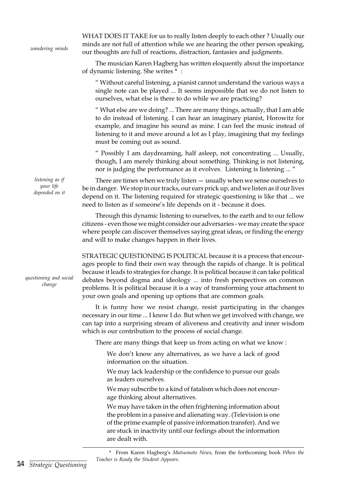| wandering minds                                | WHAT DOES IT TAKE for us to really listen deeply to each other? Usually our<br>minds are not full of attention while we are hearing the other person speaking,<br>our thoughts are full of reactions, distraction, fantasies and judgments.                                                                                                                                                                                                                                        |
|------------------------------------------------|------------------------------------------------------------------------------------------------------------------------------------------------------------------------------------------------------------------------------------------------------------------------------------------------------------------------------------------------------------------------------------------------------------------------------------------------------------------------------------|
|                                                | The musician Karen Hagberg has written eloquently about the importance<br>of dynamic listening. She writes *:                                                                                                                                                                                                                                                                                                                                                                      |
|                                                | " Without careful listening, a pianist cannot understand the various ways a<br>single note can be played  It seems impossible that we do not listen to<br>ourselves, what else is there to do while we are practicing?                                                                                                                                                                                                                                                             |
|                                                | " What else are we doing?  There are many things, actually, that I am able<br>to do instead of listening. I can hear an imaginary pianist, Horowitz for<br>example, and imagine his sound as mine. I can feel the music instead of<br>listening to it and move around a lot as I play, imagining that my feelings<br>must be coming out as sound.                                                                                                                                  |
|                                                | " Possibly I am daydreaming, half asleep, not concentrating  Usually,<br>though, I am merely thinking about something. Thinking is not listening,<br>nor is judging the performance as it evolves. Listening is listening  "                                                                                                                                                                                                                                                       |
| listening as if<br>your life<br>depended on it | There are times when we truly listen $-$ usually when we sense ourselves to<br>be in danger. We stop in our tracks, our ears prick up, and we listen as if our lives<br>depend on it. The listening required for strategic questioning is like that  we<br>need to listen as if someone's life depends on it - because it does.                                                                                                                                                    |
|                                                | Through this dynamic listening to ourselves, to the earth and to our fellow<br>citizens - even those we might consider our adversaries - we may create the space<br>where people can discover themselves saying great ideas, or finding the energy<br>and will to make changes happen in their lives.                                                                                                                                                                              |
| questioning and social<br>change               | STRATEGIC QUESTIONING IS POLITICAL because it is a process that encour-<br>ages people to find their own way through the rapids of change. It is political<br>because it leads to strategies for change. It is political because it can take political<br>debates beyond dogma and ideology  into fresh perspectives on common<br>problems. It is political because it is a way of transforming your attachment to<br>your own goals and opening up options that are common goals. |
|                                                | It is funny how we resist change, resist participating in the changes<br>necessary in our time  I know I do. But when we get involved with change, we<br>can tap into a surprising stream of aliveness and creativity and inner wisdom<br>which is our contribution to the process of social change.                                                                                                                                                                               |
|                                                | There are many things that keep us from acting on what we know:                                                                                                                                                                                                                                                                                                                                                                                                                    |
|                                                | We don't know any alternatives, as we have a lack of good<br>information on the situation.                                                                                                                                                                                                                                                                                                                                                                                         |
|                                                | We may lack leadership or the confidence to pursue our goals<br>as leaders ourselves.                                                                                                                                                                                                                                                                                                                                                                                              |
|                                                | We may subscribe to a kind of fatalism which does not encour-<br>age thinking about alternatives.                                                                                                                                                                                                                                                                                                                                                                                  |
|                                                |                                                                                                                                                                                                                                                                                                                                                                                                                                                                                    |

We may have taken in the often frightening information about the problem in a passive and alienating way. (Television is one of the prime example of passive information transfer). And we are stuck in inactivity until our feelings about the information are dealt with.

\* From Karen Hagberg's Matsumoto News, from the forthcoming book When the Teacher is Ready the Student Appears.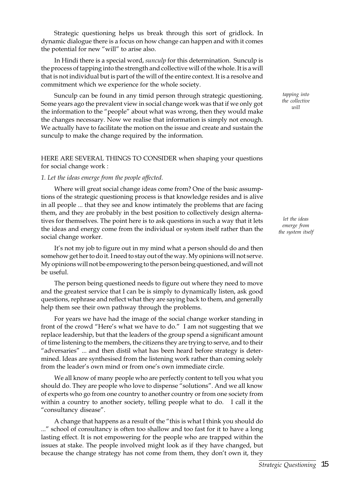Strategic questioning helps us break through this sort of gridlock. In dynamic dialogue there is a focus on how change can happen and with it comes the potential for new "will" to arise also.

In Hindi there is a special word, sunculp for this determination. Sunculp is the process of tapping into the strength and collective will of the whole. It is a will that is not individual but is part of the will of the entire context. It is a resolve and commitment which we experience for the whole society.

Sunculp can be found in any timid person through strategic questioning. Some years ago the prevalent view in social change work was that if we only got the information to the "people" about what was wrong, then they would make the changes necessary. Now we realise that information is simply not enough. We actually have to facilitate the motion on the issue and create and sustain the sunculp to make the change required by the information.

HERE ARE SEVERAL THINGS TO CONSIDER when shaping your questions for social change work :

#### 1. Let the ideas emerge from the people affected.

Where will great social change ideas come from? One of the basic assumptions of the strategic questioning process is that knowledge resides and is alive in all people ... that they see and know intimately the problems that are facing them, and they are probably in the best position to collectively design alternatives for themselves. The point here is to ask questions in such a way that it lets the ideas and energy come from the individual or system itself rather than the social change worker.

It's not my job to figure out in my mind what a person should do and then somehow get her to do it. I need to stay out of the way. My opinions will not serve. My opinions will not be empowering to the person being questioned, and will not be useful.

The person being questioned needs to figure out where they need to move and the greatest service that I can be is simply to dynamically listen, ask good questions, rephrase and reflect what they are saying back to them, and generally help them see their own pathway through the problems.

For years we have had the image of the social change worker standing in front of the crowd "Here's what we have to do." I am not suggesting that we replace leadership, but that the leaders of the group spend a significant amount of time listening to the members, the citizens they are trying to serve, and to their "adversaries" ... and then distil what has been heard before strategy is determined. Ideas are synthesised from the listening work rather than coming solely from the leader's own mind or from one's own immediate circle.

We all know of many people who are perfectly content to tell you what you should do. They are people who love to dispense "solutions". And we all know of experts who go from one country to another country or from one society from within a country to another society, telling people what to do. I call it the "consultancy disease".

A change that happens as a result of the "this is what I think you should do ..." school of consultancy is often too shallow and too fast for it to have a long lasting effect. It is not empowering for the people who are trapped within the issues at stake. The people involved might look as if they have changed, but because the change strategy has not come from them, they don't own it, they

tapping into the collective  $\frac{1}{2}$ 

let the ideas emerge from the system itself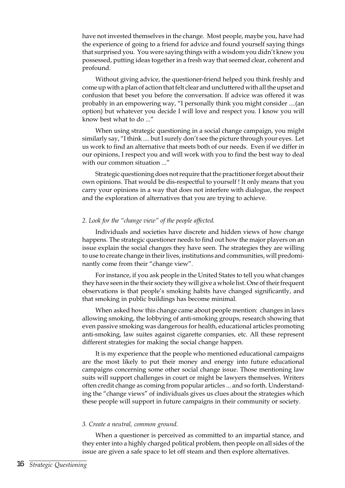have not invested themselves in the change. Most people, maybe you, have had the experience of going to a friend for advice and found yourself saying things that surprised you. You were saying things with a wisdom you didn't know you possessed, putting ideas together in a fresh way that seemed clear, coherent and profound.

Without giving advice, the questioner-friend helped you think freshly and come up with a plan of action that felt clear and uncluttered with all the upset and confusion that beset you before the conversation. If advice was offered it was probably in an empowering way, I personally think you might consider ....(an option) but whatever you decide I will love and respect you. I know you will know best what to do ...

When using strategic questioning in a social change campaign, you might similarly say, "I think .... but I surely don't see the picture through your eyes. Let us work to find an alternative that meets both of our needs. Even if we differ in our opinions, I respect you and will work with you to find the best way to deal with our common situation ..."

Strategic questioning does not require that the practitioner forget about their own opinions. That would be dis-respectful to yourself ! It only means that you carry your opinions in a way that does not interfere with dialogue, the respect and the exploration of alternatives that you are trying to achieve.

#### 2. Look for the "change view" of the people affected.

Individuals and societies have discrete and hidden views of how change happens. The strategic questioner needs to find out how the major players on an issue explain the social changes they have seen. The strategies they are willing to use to create change in their lives, institutions and communities, will predominantly come from their "change view".

For instance, if you ask people in the United States to tell you what changes they have seen in the their society they will give a whole list. One of their frequent observations is that people's smoking habits have changed significantly, and that smoking in public buildings has become minimal.

When asked how this change came about people mention: changes in laws allowing smoking, the lobbying of anti-smoking groups, research showing that even passive smoking was dangerous for health, educational articles promoting anti-smoking, law suites against cigarette companies, etc. All these represent different strategies for making the social change happen.

It is my experience that the people who mentioned educational campaigns are the most likely to put their money and energy into future educational campaigns concerning some other social change issue. Those mentioning law suits will support challenges in court or might be lawyers themselves. Writers often credit change as coming from popular articles ... and so forth. Understanding the "change views" of individuals gives us clues about the strategies which these people will support in future campaigns in their community or society.

#### 3. Create a neutral, common ground.

When a questioner is perceived as committed to an impartial stance, and they enter into a highly charged political problem, then people on all sides of the issue are given a safe space to let off steam and then explore alternatives.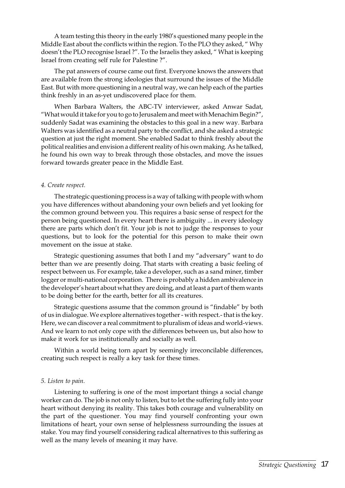A team testing this theory in the early 1980's questioned many people in the Middle East about the conflicts within the region. To the PLO they asked, "Why doesn't the PLO recognise Israel ?". To the Israelis they asked, "What is keeping Israel from creating self rule for Palestine ?".

The pat answers of course came out first. Everyone knows the answers that are available from the strong ideologies that surround the issues of the Middle East. But with more questioning in a neutral way, we can help each of the parties think freshly in an as-yet undiscovered place for them.

When Barbara Walters, the ABC-TV interviewer, asked Anwar Sadat, "What would it take for you to go to Jerusalem and meet with Menachim Begin?", suddenly Sadat was examining the obstacles to this goal in a new way. Barbara Walters was identified as a neutral party to the conflict, and she asked a strategic question at just the right moment. She enabled Sadat to think freshly about the political realities and envision a different reality of his own making. As he talked, he found his own way to break through those obstacles, and move the issues forward towards greater peace in the Middle East.

#### 4. Create respect.

The strategic questioning process is a way of talking with people with whom you have differences without abandoning your own beliefs and yet looking for the common ground between you. This requires a basic sense of respect for the person being questioned. In every heart there is ambiguity ... in every ideology there are parts which don't fit. Your job is not to judge the responses to your questions, but to look for the potential for this person to make their own movement on the issue at stake.

Strategic questioning assumes that both I and my "adversary" want to do better than we are presently doing. That starts with creating a basic feeling of respect between us. For example, take a developer, such as a sand miner, timber logger or multi-national corporation. There is probably a hidden ambivalence in the developer's heart about what they are doing, and at least a part of them wants to be doing better for the earth, better for all its creatures.

Strategic questions assume that the common ground is "findable" by both of us in dialogue. We explore alternatives together - with respect.- that is the key. Here, we can discover a real commitment to pluralism of ideas and world-views. And we learn to not only cope with the differences between us, but also how to make it work for us institutionally and socially as well.

Within a world being torn apart by seemingly irreconcilable differences, creating such respect is really a key task for these times.

#### 5. Listen to pain.

Listening to suffering is one of the most important things a social change worker can do. The job is not only to listen, but to let the suffering fully into your heart without denying its reality. This takes both courage and vulnerability on the part of the questioner. You may find yourself confronting your own limitations of heart, your own sense of helplessness surrounding the issues at stake. You may find yourself considering radical alternatives to this suffering as well as the many levels of meaning it may have.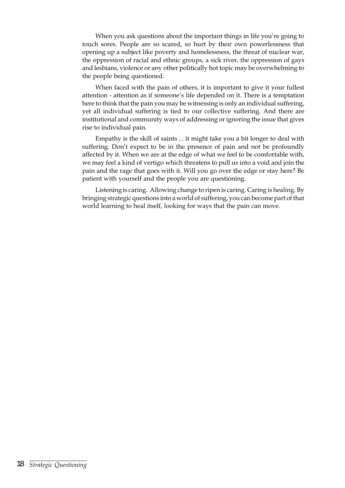When you ask questions about the important things in life you're going to touch sores. People are so scared, so hurt by their own powerlessness that opening up a subject like poverty and homelessness, the threat of nuclear war, the oppression of racial and ethnic groups, a sick river, the oppression of gays and lesbians, violence or any other politically hot topic may be overwhelming to the people being questioned.

When faced with the pain of others, it is important to give it your fullest attention - attention as if someone's life depended on it. There is a temptation here to think that the pain you may be witnessing is only an individual suffering, yet all individual suffering is tied to our collective suffering. And there are institutional and community ways of addressing or ignoring the issue that gives rise to individual pain.

Empathy is the skill of saints ... it might take you a bit longer to deal with suffering. Don't expect to be in the presence of pain and not be profoundly affected by it. When we are at the edge of what we feel to be comfortable with, we may feel a kind of vertigo which threatens to pull us into a void and join the pain and the rage that goes with it. Will you go over the edge or stay here? Be patient with yourself and the people you are questioning.

Listening is caring. Allowing change to ripen is caring. Caring is healing. By bringing strategic questions into a world of suffering, you can become part of that world learning to heal itself, looking for ways that the pain can move.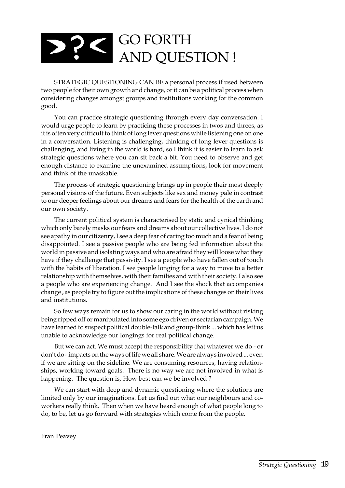

STRATEGIC QUESTIONING CAN BE a personal process if used between two people for their own growth and change, or it can be a political process when considering changes amongst groups and institutions working for the common good.

You can practice strategic questioning through every day conversation. I would urge people to learn by practicing these processes in twos and threes, as it is often very difficult to think of long lever questions while listening one on one in a conversation. Listening is challenging, thinking of long lever questions is challenging, and living in the world is hard, so I think it is easier to learn to ask strategic questions where you can sit back a bit. You need to observe and get enough distance to examine the unexamined assumptions, look for movement and think of the unaskable.

The process of strategic questioning brings up in people their most deeply personal visions of the future. Even subjects like sex and money pale in contrast to our deeper feelings about our dreams and fears for the health of the earth and our own society.

The current political system is characterised by static and cynical thinking which only barely masks our fears and dreams about our collective lives. I do not see apathy in our citizenry, I see a deep fear of caring too much and a fear of being disappointed. I see a passive people who are being fed information about the world in passive and isolating ways and who are afraid they will loose what they have if they challenge that passivity. I see a people who have fallen out of touch with the habits of liberation. I see people longing for a way to move to a better relationship with themselves, with their families and with their society. I also see a people who are experiencing change. And I see the shock that accompanies change , as people try to figure out the implications of these changes on their lives and institutions.

So few ways remain for us to show our caring in the world without risking being ripped off or manipulated into some ego driven or sectarian campaign. We have learned to suspect political double-talk and group-think ... which has left us unable to acknowledge our longings for real political change.

But we can act. We must accept the responsibility that whatever we do - or don't do - impacts on the ways of life we all share. We are always involved ... even if we are sitting on the sideline. We are consuming resources, having relationships, working toward goals. There is no way we are not involved in what is happening. The question is, How best can we be involved ?

We can start with deep and dynamic questioning where the solutions are limited only by our imaginations. Let us find out what our neighbours and coworkers really think. Then when we have heard enough of what people long to do, to be, let us go forward with strategies which come from the people.

Fran Peavey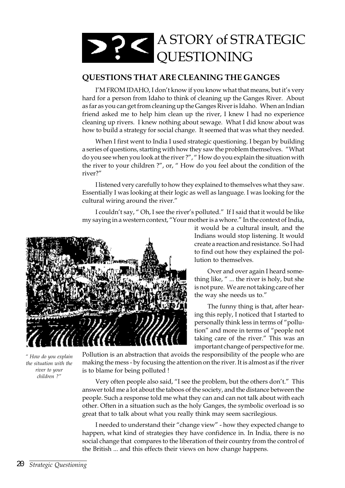## A STORY of STRATEGIC QUESTIONING

### QUESTIONS THAT ARE CLEANING THE GANGES

I'M FROM IDAHO, I don't know if you know what that means, but it's very hard for a person from Idaho to think of cleaning up the Ganges River. About as far as you can get from cleaning up the Ganges River is Idaho. When an Indian friend asked me to help him clean up the river, I knew I had no experience cleaning up rivers. I knew nothing about sewage. What I did know about was how to build a strategy for social change. It seemed that was what they needed.

When I first went to India I used strategic questioning. I began by building a series of questions, starting with how they saw the problem themselves. "What do you see when you look at the river?", "How do you explain the situation with the river to your children ?", or, " How do you feel about the condition of the river?

I listened very carefully to how they explained to themselves what they saw. Essentially I was looking at their logic as well as language. I was looking for the cultural wiring around the river.

I couldn't say, " Oh, I see the river's polluted." If I said that it would be like my saying in a western context, "Your mother is a whore." In the context of India,



it would be a cultural insult, and the Indians would stop listening. It would create a reaction and resistance. So I had to find out how they explained the pollution to themselves.

Over and over again I heard something like, " ... the river is holy, but she is not pure. We are not taking care of her the way she needs us to.

The funny thing is that, after hearing this reply, I noticed that I started to personally think less in terms of "pollution" and more in terms of "people not taking care of the river." This was an important change of perspective for me.

 How do you explain the situation with the river to your children ?

Pollution is an abstraction that avoids the responsibility of the people who are making the mess - by focusing the attention on the river. It is almost as if the river is to blame for being polluted !

Very often people also said, "I see the problem, but the others don't." This answer told me a lot about the taboos of the society, and the distance between the people. Such a response told me what they can and can not talk about with each other. Often in a situation such as the holy Ganges, the symbolic overload is so great that to talk about what you really think may seem sacrilegious.

I needed to understand their "change view" - how they expected change to happen, what kind of strategies they have confidence in. In India, there is no social change that compares to the liberation of their country from the control of the British ... and this effects their views on how change happens.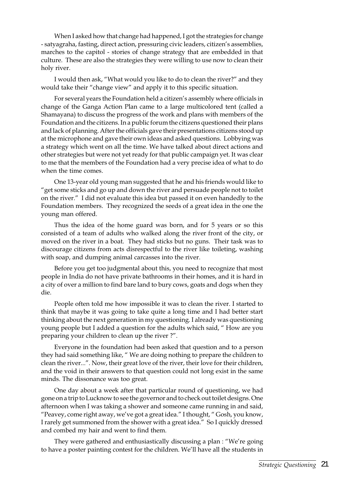When I asked how that change had happened, I got the strategies for change - satyagraha, fasting, direct action, pressuring civic leaders, citizen's assemblies, marches to the capitol - stories of change strategy that are embedded in that culture. These are also the strategies they were willing to use now to clean their holy river.

I would then ask, "What would you like to do to clean the river?" and they would take their "change view" and apply it to this specific situation.

For several years the Foundation held a citizen's assembly where officials in change of the Ganga Action Plan came to a large multicolored tent (called a Shamayana) to discuss the progress of the work and plans with members of the Foundation and the citizens. In a public forum the citizens questioned their plans and lack of planning. After the officials gave their presentations citizens stood up at the microphone and gave their own ideas and asked questions. Lobbying was a strategy which went on all the time. We have talked about direct actions and other strategies but were not yet ready for that public campaign yet. It was clear to me that the members of the Foundation had a very precise idea of what to do when the time comes.

One 13-year old young man suggested that he and his friends would like to get some sticks and go up and down the river and persuade people not to toilet on the river." I did not evaluate this idea but passed it on even handedly to the Foundation members. They recognized the seeds of a great idea in the one the young man offered.

Thus the idea of the home guard was born, and for 5 years or so this consisted of a team of adults who walked along the river front of the city, or moved on the river in a boat. They had sticks but no guns. Their task was to discourage citizens from acts disrespectful to the river like toileting, washing with soap, and dumping animal carcasses into the river.

Before you get too judgmental about this, you need to recognize that most people in India do not have private bathrooms in their homes, and it is hard in a city of over a million to find bare land to bury cows, goats and dogs when they die.

People often told me how impossible it was to clean the river. I started to think that maybe it was going to take quite a long time and I had better start thinking about the next generation in my questioning. I already was questioning young people but I added a question for the adults which said, "How are you preparing your children to clean up the river ?".

Everyone in the foundation had been asked that question and to a person they had said something like, "We are doing nothing to prepare the children to clean the river...". Now, their great love of the river, their love for their children, and the void in their answers to that question could not long exist in the same minds. The dissonance was too great.

One day about a week after that particular round of questioning, we had gone on a trip to Lucknow to see the governor and to check out toilet designs. One afternoon when I was taking a shower and someone came running in and said, "Peavey, come right away, we've got a great idea." I thought, "Gosh, you know, I rarely get summoned from the shower with a great idea." So I quickly dressed and combed my hair and went to find them.

They were gathered and enthusiastically discussing a plan : "We're going to have a poster painting contest for the children. We'll have all the students in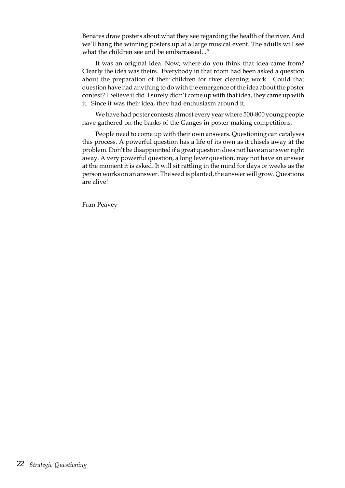Benares draw posters about what they see regarding the health of the river. And we'll hang the winning posters up at a large musical event. The adults will see what the children see and be embarrassed..."

It was an original idea. Now, where do you think that idea came from? Clearly the idea was theirs. Everybody in that room had been asked a question about the preparation of their children for river cleaning work. Could that question have had anything to do with the emergence of the idea about the poster contest? I believe it did. I surely didn't come up with that idea, they came up with it. Since it was their idea, they had enthusiasm around it.

We have had poster contests almost every year where 500-800 young people have gathered on the banks of the Ganges in poster making competitions.

People need to come up with their own answers. Questioning can catalyses this process. A powerful question has a life of its own as it chisels away at the problem. Don't be disappointed if a great question does not have an answer right away. A very powerful question, a long lever question, may not have an answer at the moment it is asked. It will sit rattling in the mind for days or weeks as the person works on an answer. The seed is planted, the answer will grow. Questions are alive!

Fran Peavey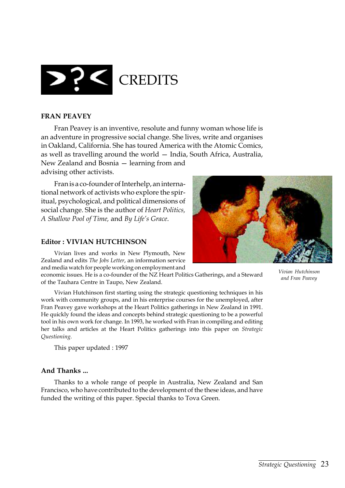

#### **FRAN PEAVEY**

Fran Peavey is an inventive, resolute and funny woman whose life is an adventure in progressive social change. She lives, write and organises in Oakland, California. She has toured America with the Atomic Comics, as well as travelling around the world — India, South Africa, Australia, New Zealand and Bosnia — learning from and advising other activists.

Fran is a co-founder of Interhelp, an international network of activists who explore the spiritual, psychological, and political dimensions of social change. She is the author of *Heart Politics, A Shallow Pool of Time,* and *By Life's Grace*.

#### **Editor : VIVIAN HUTCHINSON**

Vivian lives and works in New Plymouth, New Zealand and edits *The Jobs Letter*, an information service and media watch for people working on employment and

economic issues. He is a co-founder of the NZ Heart Politics Gatherings, and a Steward of the Tauhara Centre in Taupo, New Zealand.

Vivian Hutchinson first starting using the strategic questioning techniques in his work with community groups, and in his enterprise courses for the unemployed, after Fran Peavey gave workshops at the Heart Politics gatherings in New Zealand in 1991. He quickly found the ideas and concepts behind strategic questioning to be a powerful tool in his own work for change. In 1993, he worked with Fran in compiling and editing her talks and articles at the Heart Politics gatherings into this paper on *Strategic Questioning.*

This paper updated : 1997

#### **And Thanks ...**

Thanks to a whole range of people in Australia, New Zealand and San Francisco, who have contributed to the development of the these ideas, and have funded the writing of this paper. Special thanks to Tova Green.



*Vivian Hutchinson and Fran Peavey*